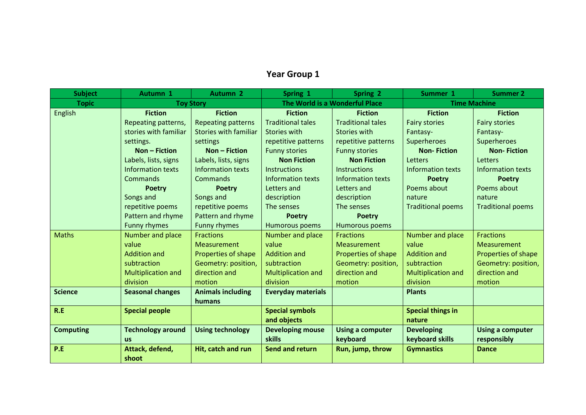## **Year Group 1**

| <b>Subject</b>   | Autumn 1                  | <b>Autumn 2</b>              | Spring 1                  | Spring 2                       | Summer 1                  | <b>Summer 2</b>          |  |
|------------------|---------------------------|------------------------------|---------------------------|--------------------------------|---------------------------|--------------------------|--|
| <b>Topic</b>     | <b>Toy Story</b>          |                              |                           | The World is a Wonderful Place |                           | <b>Time Machine</b>      |  |
| <b>English</b>   | <b>Fiction</b>            | <b>Fiction</b>               | <b>Fiction</b>            | <b>Fiction</b>                 | <b>Fiction</b>            | <b>Fiction</b>           |  |
|                  | Repeating patterns,       | <b>Repeating patterns</b>    | <b>Traditional tales</b>  | <b>Traditional tales</b>       | <b>Fairy stories</b>      | <b>Fairy stories</b>     |  |
|                  | stories with familiar     | <b>Stories with familiar</b> | Stories with              | Stories with                   | Fantasy-                  | Fantasy-                 |  |
|                  | settings.                 | settings                     | repetitive patterns       | repetitive patterns            | Superheroes               | Superheroes              |  |
|                  | <b>Non - Fiction</b>      | <b>Non - Fiction</b>         | <b>Funny stories</b>      | <b>Funny stories</b>           | <b>Non-Fiction</b>        | <b>Non-Fiction</b>       |  |
|                  | Labels, lists, signs      | Labels, lists, signs         | <b>Non Fiction</b>        | <b>Non Fiction</b>             | Letters                   | <b>Letters</b>           |  |
|                  | <b>Information texts</b>  | <b>Information texts</b>     | Instructions              | <b>Instructions</b>            | <b>Information texts</b>  | <b>Information texts</b> |  |
|                  | Commands                  | Commands                     | <b>Information texts</b>  | <b>Information texts</b>       | <b>Poetry</b>             | <b>Poetry</b>            |  |
|                  | <b>Poetry</b>             | <b>Poetry</b>                | Letters and               | <b>Letters and</b>             | Poems about               | Poems about              |  |
|                  | Songs and                 | Songs and                    | description               | description                    | nature                    | nature                   |  |
|                  | repetitive poems          | repetitive poems             | The senses                | The senses                     | <b>Traditional poems</b>  | <b>Traditional poems</b> |  |
|                  | Pattern and rhyme         | Pattern and rhyme            | <b>Poetry</b>             | <b>Poetry</b>                  |                           |                          |  |
|                  | <b>Funny rhymes</b>       | <b>Funny rhymes</b>          | <b>Humorous poems</b>     | Humorous poems                 |                           |                          |  |
| <b>Maths</b>     | Number and place          | <b>Fractions</b>             | Number and place          | <b>Fractions</b>               | Number and place          | <b>Fractions</b>         |  |
|                  | value                     | Measurement                  | value                     | <b>Measurement</b>             | value                     | <b>Measurement</b>       |  |
|                  | <b>Addition and</b>       | Properties of shape          | <b>Addition and</b>       | Properties of shape            | <b>Addition and</b>       | Properties of shape      |  |
|                  | subtraction               | Geometry: position,          | subtraction               | Geometry: position,            | subtraction               | Geometry: position,      |  |
|                  | <b>Multiplication and</b> | direction and                | <b>Multiplication and</b> | direction and                  | <b>Multiplication and</b> | direction and            |  |
|                  | division                  | motion                       | division                  | motion                         | division                  | motion                   |  |
| <b>Science</b>   | <b>Seasonal changes</b>   | <b>Animals including</b>     | <b>Everyday materials</b> |                                | <b>Plants</b>             |                          |  |
|                  |                           | humans                       |                           |                                |                           |                          |  |
| R.E              | <b>Special people</b>     |                              | <b>Special symbols</b>    |                                | <b>Special things in</b>  |                          |  |
|                  |                           |                              | and objects               |                                | nature                    |                          |  |
| <b>Computing</b> | <b>Technology around</b>  | <b>Using technology</b>      | <b>Developing mouse</b>   | <b>Using a computer</b>        | <b>Developing</b>         | <b>Using a computer</b>  |  |
|                  | <b>us</b>                 |                              | skills                    | keyboard                       | keyboard skills           | responsibly              |  |
| P.E              | Attack, defend,           | Hit, catch and run           | <b>Send and return</b>    | Run, jump, throw               | <b>Gymnastics</b>         | <b>Dance</b>             |  |
|                  | shoot                     |                              |                           |                                |                           |                          |  |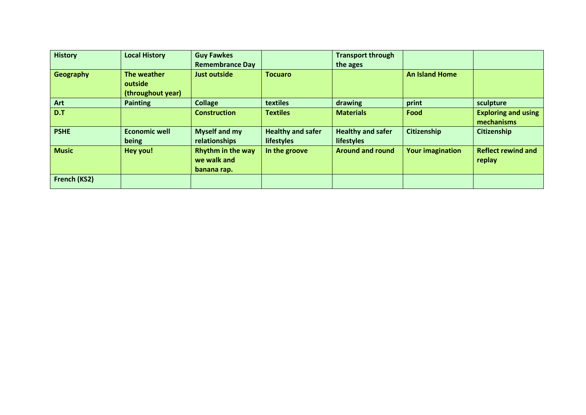| <b>History</b>   | <b>Local History</b>                        | <b>Guy Fawkes</b>                                      |                                               | <b>Transport through</b>                      |                         |                                          |
|------------------|---------------------------------------------|--------------------------------------------------------|-----------------------------------------------|-----------------------------------------------|-------------------------|------------------------------------------|
|                  |                                             | <b>Remembrance Day</b>                                 |                                               | the ages                                      |                         |                                          |
| <b>Geography</b> | The weather<br>outside<br>(throughout year) | <b>Just outside</b>                                    | <b>Tocuaro</b>                                |                                               | <b>An Island Home</b>   |                                          |
| Art              | <b>Painting</b>                             | <b>Collage</b>                                         | textiles                                      | drawing                                       | print                   | sculpture                                |
| D.T              |                                             | <b>Construction</b>                                    | <b>Textiles</b>                               | <b>Materials</b>                              | Food                    | <b>Exploring and using</b><br>mechanisms |
| <b>PSHE</b>      | <b>Economic well</b><br>being               | <b>Myself and my</b><br>relationships                  | <b>Healthy and safer</b><br><b>lifestyles</b> | <b>Healthy and safer</b><br><b>lifestyles</b> | <b>Citizenship</b>      | Citizenship                              |
| <b>Music</b>     | Hey you!                                    | <b>Rhythm in the way</b><br>we walk and<br>banana rap. | In the groove                                 | <b>Around and round</b>                       | <b>Your imagination</b> | <b>Reflect rewind and</b><br>replay      |
| French (KS2)     |                                             |                                                        |                                               |                                               |                         |                                          |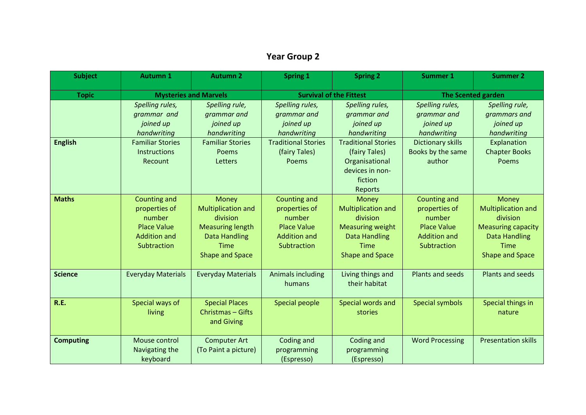## **Year Group 2**

| <b>Subject</b>   | <b>Autumn 1</b>                                                                                                  | <b>Autumn 2</b>                                                                                                                            | <b>Spring 1</b>                                                                                                    | <b>Spring 2</b>                                                                                                                                           | <b>Summer 1</b>                                                                                                       | <b>Summer 2</b>                                                                                                                       |
|------------------|------------------------------------------------------------------------------------------------------------------|--------------------------------------------------------------------------------------------------------------------------------------------|--------------------------------------------------------------------------------------------------------------------|-----------------------------------------------------------------------------------------------------------------------------------------------------------|-----------------------------------------------------------------------------------------------------------------------|---------------------------------------------------------------------------------------------------------------------------------------|
| <b>Topic</b>     | <b>Mysteries and Marvels</b>                                                                                     |                                                                                                                                            | <b>Survival of the Fittest</b>                                                                                     |                                                                                                                                                           | <b>The Scented garden</b>                                                                                             |                                                                                                                                       |
| <b>English</b>   | Spelling rules,<br>grammar and<br>joined up<br>handwriting<br><b>Familiar Stories</b><br>Instructions<br>Recount | Spelling rule,<br>grammar and<br>joined up<br>handwriting<br><b>Familiar Stories</b><br>Poems<br>Letters                                   | Spelling rules,<br>grammar and<br>joined up<br>handwriting<br><b>Traditional Stories</b><br>(fairy Tales)<br>Poems | Spelling rules,<br>grammar and<br>joined up<br>handwriting<br><b>Traditional Stories</b><br>(fairy Tales)<br>Organisational<br>devices in non-<br>fiction | Spelling rules,<br>grammar and<br>joined up<br>handwriting<br><b>Dictionary skills</b><br>Books by the same<br>author | Spelling rule,<br>grammars and<br>joined up<br>handwriting<br>Explanation<br><b>Chapter Books</b><br>Poems                            |
| <b>Maths</b>     | Counting and<br>properties of<br>number<br><b>Place Value</b><br><b>Addition and</b><br>Subtraction              | Money<br><b>Multiplication and</b><br>division<br><b>Measuring length</b><br><b>Data Handling</b><br><b>Time</b><br><b>Shape and Space</b> | Counting and<br>properties of<br>number<br><b>Place Value</b><br><b>Addition and</b><br>Subtraction                | Reports<br>Money<br>Multiplication and<br>division<br><b>Measuring weight</b><br><b>Data Handling</b><br><b>Time</b><br><b>Shape and Space</b>            | <b>Counting and</b><br>properties of<br>number<br><b>Place Value</b><br><b>Addition and</b><br>Subtraction            | Money<br><b>Multiplication and</b><br>division<br><b>Measuring capacity</b><br><b>Data Handling</b><br>Time<br><b>Shape and Space</b> |
| <b>Science</b>   | <b>Everyday Materials</b>                                                                                        | <b>Everyday Materials</b>                                                                                                                  | <b>Animals including</b><br>humans                                                                                 | Living things and<br>their habitat                                                                                                                        | Plants and seeds                                                                                                      | Plants and seeds                                                                                                                      |
| <b>R.E.</b>      | Special ways of<br>living                                                                                        | <b>Special Places</b><br>Christmas - Gifts<br>and Giving                                                                                   | Special people                                                                                                     | Special words and<br>stories                                                                                                                              | Special symbols                                                                                                       | Special things in<br>nature                                                                                                           |
| <b>Computing</b> | Mouse control<br>Navigating the<br>keyboard                                                                      | <b>Computer Art</b><br>(To Paint a picture)                                                                                                | Coding and<br>programming<br>(Espresso)                                                                            | Coding and<br>programming<br>(Espresso)                                                                                                                   | <b>Word Processing</b>                                                                                                | <b>Presentation skills</b>                                                                                                            |